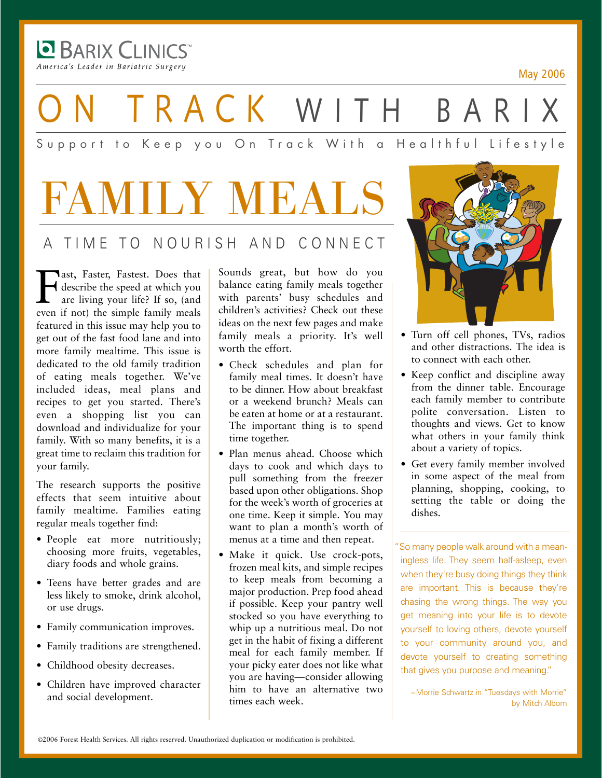America's Leader in Bariatric Surgery

**BARIX CLINICS** 

May 2006

TRACK WITH BARI

### Support to Keep you On Track With a Healthful Lifestyle

# FAMILY MEALS A TIME TO NOURISH AND CONNECT

**Faster, Faster.** Does that<br>describe the speed at which you<br>are living your life? If so, (and<br>even if not) the simple family meals describe the speed at which you are living your life? If so, (and even if not) the simple family meals featured in this issue may help you to get out of the fast food lane and into more family mealtime. This issue is dedicated to the old family tradition of eating meals together. We've included ideas, meal plans and recipes to get you started. There's even a shopping list you can download and individualize for your family. With so many benefits, it is a great time to reclaim this tradition for your family.

The research supports the positive effects that seem intuitive about family mealtime. Families eating regular meals together find:

- People eat more nutritiously; choosing more fruits, vegetables, diary foods and whole grains.
- Teens have better grades and are less likely to smoke, drink alcohol, or use drugs.
- Family communication improves.
- Family traditions are strengthened.
- Childhood obesity decreases.
- Children have improved character and social development.

Sounds great, but how do you balance eating family meals together with parents' busy schedules and children's activities? Check out these ideas on the next few pages and make family meals a priority. It's well worth the effort.

- Check schedules and plan for family meal times. It doesn't have to be dinner. How about breakfast or a weekend brunch? Meals can be eaten at home or at a restaurant. The important thing is to spend time together.
- Plan menus ahead. Choose which days to cook and which days to pull something from the freezer based upon other obligations. Shop for the week's worth of groceries at one time. Keep it simple. You may want to plan a month's worth of menus at a time and then repeat.
- Make it quick. Use crock-pots, frozen meal kits, and simple recipes to keep meals from becoming a major production. Prep food ahead if possible. Keep your pantry well stocked so you have everything to whip up a nutritious meal. Do not get in the habit of fixing a different meal for each family member. If your picky eater does not like what you are having—consider allowing him to have an alternative two times each week.



- Turn off cell phones, TVs, radios and other distractions. The idea is to connect with each other.
- Keep conflict and discipline away from the dinner table. Encourage each family member to contribute polite conversation. Listen to thoughts and views. Get to know what others in your family think about a variety of topics.
- Get every family member involved in some aspect of the meal from planning, shopping, cooking, to setting the table or doing the dishes.

"So many people walk around with a mean ingless life. They seem half-asleep, even when they're busy doing things they think are important. This is because they're chasing the wrong things. The way you get meaning into your life is to devote yourself to loving others, devote yourself to your community around you, and devote yourself to creating something that gives you purpose and meaning."

~Morrie Schwartz in "Tuesdays with Morrie" by Mitch Albom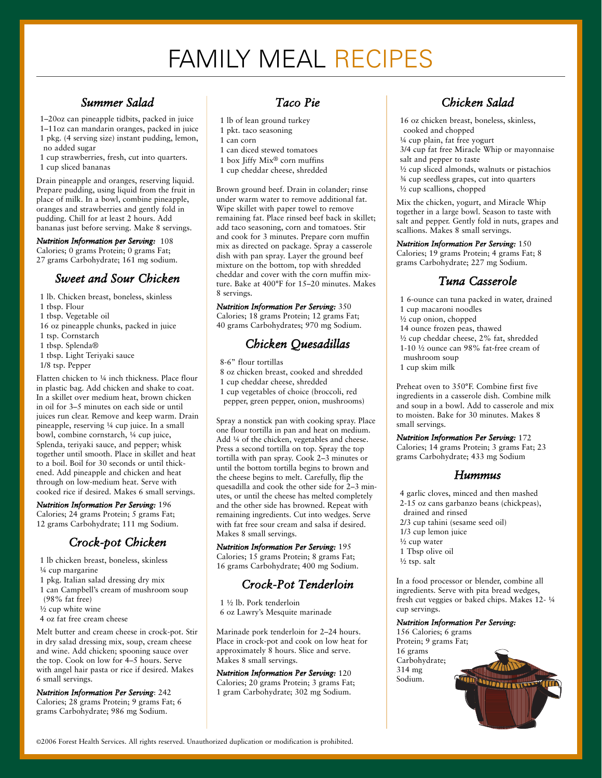## FAMILY MEAL RECIPES

#### *Summer Salad*

1–20oz can pineapple tidbits, packed in juice 1–11oz can mandarin oranges, packed in juice 1 pkg. (4 serving size) instant pudding, lemon, no added sugar

1 cup strawberries, fresh, cut into quarters.

1 cup sliced bananas

Drain pineapple and oranges, reserving liquid. Prepare pudding, using liquid from the fruit in place of milk. In a bowl, combine pineapple, oranges and strawberries and gently fold in pudding. Chill for at least 2 hours. Add bananas just before serving. Make 8 servings.

*Nutrition Information per Serving:* 108 Calories; 0 grams Protein; 0 grams Fat; 27 grams Carbohydrate; 161 mg sodium.

#### *Sweet and Sour Chicken*

1 lb. Chicken breast, boneless, skinless 1 tbsp. Flour 1 tbsp. Vegetable oil 16 oz pineapple chunks, packed in juice 1 tsp. Cornstarch 1 tbsp. Splenda® 1 tbsp. Light Teriyaki sauce 1/8 tsp. Pepper Flatten chicken to 1/4 inch thickness. Place flour in plastic bag. Add chicken and shake to coat.

In a skillet over medium heat, brown chicken in oil for 3–5 minutes on each side or until juices run clear. Remove and keep warm. Drain pineapple, reserving ¼ cup juice. In a small bowl, combine cornstarch, ¼ cup juice, Splenda, teriyaki sauce, and pepper; whisk together until smooth. Place in skillet and heat to a boil. Boil for 30 seconds or until thickened. Add pineapple and chicken and heat through on low-medium heat. Serve with cooked rice if desired. Makes 6 small servings.

*Nutrition Information Per Serving:* 196 Calories; 24 grams Protein; 5 grams Fat; 12 grams Carbohydrate; 111 mg Sodium.

#### *Crock-pot Chicken*

1 lb chicken breast, boneless, skinless ¼ cup margarine

- 1 pkg. Italian salad dressing dry mix
- 1 can Campbell's cream of mushroom soup
- (98% fat free)

½ cup white wine

4 oz fat free cream cheese

Melt butter and cream cheese in crock-pot. Stir in dry salad dressing mix, soup, cream cheese and wine. Add chicken; spooning sauce over the top. Cook on low for 4–5 hours. Serve with angel hair pasta or rice if desired. Makes 6 small servings.

*Nutrition Information Per Serving*: 242 Calories; 28 grams Protein; 9 grams Fat; 6 grams Carbohydrate; 986 mg Sodium.

#### *Taco Pie*

- 1 lb of lean ground turkey
- 1 pkt. taco seasoning
- 1 can corn
- 1 can diced stewed tomatoes
- 1 box Jiffy Mix® corn muffins
- 1 cup cheddar cheese, shredded

Brown ground beef. Drain in colander; rinse under warm water to remove additional fat. Wipe skillet with paper towel to remove remaining fat. Place rinsed beef back in skillet; add taco seasoning, corn and tomatoes. Stir and cook for 3 minutes. Prepare corn muffin mix as directed on package. Spray a casserole dish with pan spray. Layer the ground beef mixture on the bottom, top with shredded cheddar and cover with the corn muffin mixture. Bake at 400°F for 15–20 minutes. Makes 8 servings.

*Nutrition Information Per Serving:* 350 Calories; 18 grams Protein; 12 grams Fat; 40 grams Carbohydrates; 970 mg Sodium.

### *Chicken Quesadillas*

8-6" flour tortillas

8 oz chicken breast, cooked and shredded 1 cup cheddar cheese, shredded 1 cup vegetables of choice (broccoli, red

pepper, green pepper, onion, mushrooms)

Spray a nonstick pan with cooking spray. Place one flour tortilla in pan and heat on medium. Add ¼ of the chicken, vegetables and cheese. Press a second tortilla on top. Spray the top tortilla with pan spray. Cook 2–3 minutes or until the bottom tortilla begins to brown and the cheese begins to melt. Carefully, flip the quesadilla and cook the other side for 2–3 minutes, or until the cheese has melted completely and the other side has browned. Repeat with remaining ingredients. Cut into wedges. Serve with fat free sour cream and salsa if desired. Makes 8 small servings.

*Nutrition Information Per Serving:* 195 Calories; 15 grams Protein; 8 grams Fat; 16 grams Carbohydrate; 400 mg Sodium.

#### *Crock-Pot Tenderloin*

1 ½ lb. Pork tenderloin 6 oz Lawry's Mesquite marinade

Marinade pork tenderloin for 2–24 hours. Place in crock-pot and cook on low heat for approximately 8 hours. Slice and serve. Makes 8 small servings.

*Nutrition Information Per Serving:* 120 Calories; 20 grams Protein; 3 grams Fat; 1 gram Carbohydrate; 302 mg Sodium.



16 oz chicken breast, boneless, skinless, cooked and chopped ¼ cup plain, fat free yogurt

3/4 cup fat free Miracle Whip or mayonnaise salt and pepper to taste

½ cup sliced almonds, walnuts or pistachios ¾ cup seedless grapes, cut into quarters

½ cup scallions, chopped

Mix the chicken, yogurt, and Miracle Whip together in a large bowl. Season to taste with salt and pepper. Gently fold in nuts, grapes and scallions. Makes 8 small servings.

#### *Nutrition Information Per Serving:* 150

Calories; 19 grams Protein; 4 grams Fat; 8 grams Carbohydrate; 227 mg Sodium.

#### *Tuna Casserole*

1 6-ounce can tuna packed in water, drained 1 cup macaroni noodles ½ cup onion, chopped 14 ounce frozen peas, thawed ½ cup cheddar cheese, 2% fat, shredded 1-10 ½ ounce can 98% fat-free cream of mushroom soup 1 cup skim milk

Preheat oven to 350°F. Combine first five ingredients in a casserole dish. Combine milk and soup in a bowl. Add to casserole and mix to moisten. Bake for 30 minutes. Makes 8 small servings.

#### *Nutrition Information Per Serving:* 172

Calories; 14 grams Protein; 3 grams Fat; 23 grams Carbohydrate; 433 mg Sodium

#### *Hummus*

4 garlic cloves, minced and then mashed 2-15 oz cans garbanzo beans (chickpeas), drained and rinsed 2/3 cup tahini (sesame seed oil) 1/3 cup lemon juice ½ cup water 1 Tbsp olive oil ½ tsp. salt

In a food processor or blender, combine all ingredients. Serve with pita bread wedges, fresh cut veggies or baked chips. Makes 12- ¼ cup servings.

#### *Nutrition Information Per Serving:*

156 Calories; 6 grams Protein; 9 grams Fat; 16 grams Carbohydrate; 314 mg Sodium.

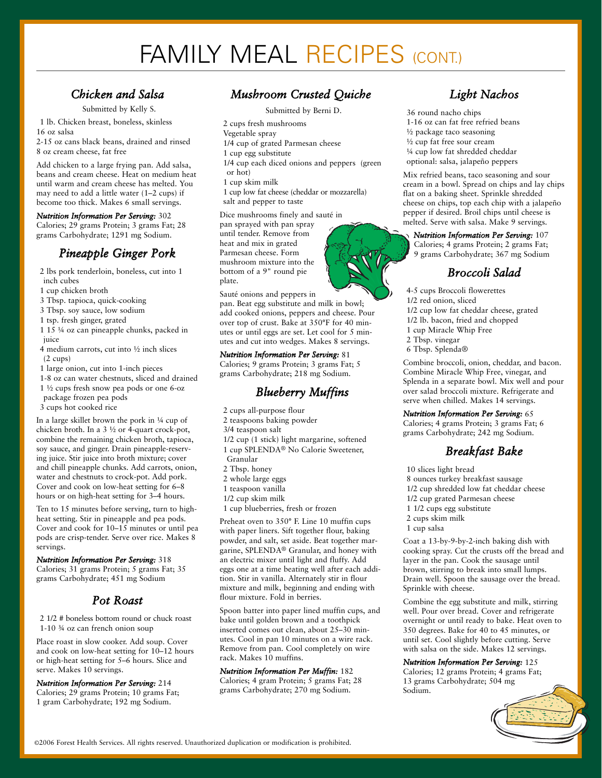## FAMILY MEAL RECIPES (CONT.)

#### *Chicken and Salsa*

Submitted by Kelly S.

1 lb. Chicken breast, boneless, skinless

16 oz salsa

2-15 oz cans black beans, drained and rinsed 8 oz cream cheese, fat free

Add chicken to a large frying pan. Add salsa, beans and cream cheese. Heat on medium heat until warm and cream cheese has melted. You may need to add a little water (1–2 cups) if become too thick. Makes 6 small servings.

*Nutrition Information Per Serving:* 302 Calories; 29 grams Protein; 3 grams Fat; 28 grams Carbohydrate; 1291 mg Sodium.

### *Pineapple Ginger Pork*

2 lbs pork tenderloin, boneless, cut into 1 inch cubes

1 cup chicken broth

3 Tbsp. tapioca, quick-cooking

3 Tbsp. soy sauce, low sodium

1 tsp. fresh ginger, grated

1 15 ¼ oz can pineapple chunks, packed in iuice

4 medium carrots, cut into ½ inch slices (2 cups)

1 large onion, cut into 1-inch pieces

- 1-8 oz can water chestnuts, sliced and drained
- 1 ½ cups fresh snow pea pods or one 6-oz

package frozen pea pods

3 cups hot cooked rice

In a large skillet brown the pork in ¼ cup of chicken broth. In a 3 ½ or 4-quart crock-pot, combine the remaining chicken broth, tapioca, soy sauce, and ginger. Drain pineapple-reserving juice. Stir juice into broth mixture; cover and chill pineapple chunks. Add carrots, onion, water and chestnuts to crock-pot. Add pork. Cover and cook on low-heat setting for 6–8 hours or on high-heat setting for 3–4 hours.

Ten to 15 minutes before serving, turn to highheat setting. Stir in pineapple and pea pods. Cover and cook for 10–15 minutes or until pea pods are crisp-tender. Serve over rice. Makes 8 servings.

*Nutrition Information Per Serving:* 318 Calories; 31 grams Protein; 5 grams Fat; 35 grams Carbohydrate; 451 mg Sodium

#### *Pot Roast*

2 1/2 # boneless bottom round or chuck roast 1-10 ¾ oz can french onion soup

Place roast in slow cooker. Add soup. Cover and cook on low-heat setting for 10–12 hours or high-heat setting for 5–6 hours. Slice and serve. Makes 10 servings.

*Nutrition Information Per Serving:* 214 Calories; 29 grams Protein; 10 grams Fat; 1 gram Carbohydrate; 192 mg Sodium.

### *Mushroom Crusted Quiche*

Submitted by Berni D.

- 2 cups fresh mushrooms
- Vegetable spray
- 1/4 cup of grated Parmesan cheese
- 1 cup egg substitute
- 1/4 cup each diced onions and peppers (green or hot)
- 1 cup skim milk
- 1 cup low fat cheese (cheddar or mozzarella) salt and pepper to taste

Dice mushrooms finely and sauté in

pan sprayed with pan spray until tender. Remove from heat and mix in grated Parmesan cheese. Form mushroom mixture into the bottom of a 9" round pie plate.

Sauté onions and peppers in

pan. Beat egg substitute and milk in bowl; add cooked onions, peppers and cheese. Pour over top of crust. Bake at 350°F for 40 minutes or until eggs are set. Let cool for 5 minutes and cut into wedges. Makes 8 servings.

#### *Nutrition Information Per Serving:* 81

Calories; 9 grams Protein; 3 grams Fat; 5 grams Carbohydrate; 218 mg Sodium.

#### *Blueberry Muffins*

- 2 cups all-purpose flour
- 2 teaspoons baking powder
- 3/4 teaspoon salt
- 1/2 cup (1 stick) light margarine, softened
- 1 cup SPLENDA® No Calorie Sweetener,
- Granular
- 2 Tbsp. honey
- 2 whole large eggs
- 1 teaspoon vanilla
- 1/2 cup skim milk
- 1 cup blueberries, fresh or frozen

Preheat oven to 350° F. Line 10 muffin cups with paper liners. Sift together flour, baking powder, and salt, set aside. Beat together margarine, SPLENDA® Granular, and honey with an electric mixer until light and fluffy. Add eggs one at a time beating well after each addition. Stir in vanilla. Alternately stir in flour mixture and milk, beginning and ending with flour mixture. Fold in berries.

Spoon batter into paper lined muffin cups, and bake until golden brown and a toothpick inserted comes out clean, about 25–30 minutes. Cool in pan 10 minutes on a wire rack. Remove from pan. Cool completely on wire rack. Makes 10 muffins.

*Nutrition Information Per Muffin:* 182 Calories; 4 gram Protein; 5 grams Fat; 28 grams Carbohydrate; 270 mg Sodium.

### *Light Nachos*

36 round nacho chips 1-16 oz can fat free refried beans ½ package taco seasoning ½ cup fat free sour cream ¼ cup low fat shredded cheddar optional: salsa, jalapeño peppers

Mix refried beans, taco seasoning and sour cream in a bowl. Spread on chips and lay chips flat on a baking sheet. Sprinkle shredded cheese on chips, top each chip with a jalapeño pepper if desired. Broil chips until cheese is melted. Serve with salsa. Make 9 servings.

#### *Nutrition Information Per Serving:* 107

Calories; 4 grams Protein; 2 grams Fat; 9 grams Carbohydrate; 367 mg Sodium

#### *Broccoli Salad*

- 4-5 cups Broccoli flowerettes
- 1/2 red onion, sliced
- 1/2 cup low fat cheddar cheese, grated
- 1/2 lb. bacon, fried and chopped
- 1 cup Miracle Whip Free
- 2 Tbsp. vinegar
- 6 Tbsp. Splenda®

Combine broccoli, onion, cheddar, and bacon. Combine Miracle Whip Free, vinegar, and Splenda in a separate bowl. Mix well and pour over salad broccoli mixture. Refrigerate and serve when chilled. Makes 14 servings.

#### *Nutrition Information Per Serving:* 65

Calories; 4 grams Protein; 3 grams Fat; 6 grams Carbohydrate; 242 mg Sodium.

### *Breakfast Bake*

10 slices light bread

- 8 ounces turkey breakfast sausage
- 1/2 cup shredded low fat cheddar cheese
- 1/2 cup grated Parmesan cheese
- 1 1/2 cups egg substitute
- 2 cups skim milk
- 1 cup salsa

Coat a 13-by-9-by-2-inch baking dish with cooking spray. Cut the crusts off the bread and layer in the pan. Cook the sausage until brown, stirring to break into small lumps. Drain well. Spoon the sausage over the bread. Sprinkle with cheese.

Combine the egg substitute and milk, stirring well. Pour over bread. Cover and refrigerate overnight or until ready to bake. Heat oven to 350 degrees. Bake for 40 to 45 minutes, or until set. Cool slightly before cutting. Serve with salsa on the side. Makes 12 servings.

*Nutrition Information Per Serving:* 125

Calories; 12 grams Protein; 4 grams Fat; 13 grams Carbohydrate; 504 mg Sodium.

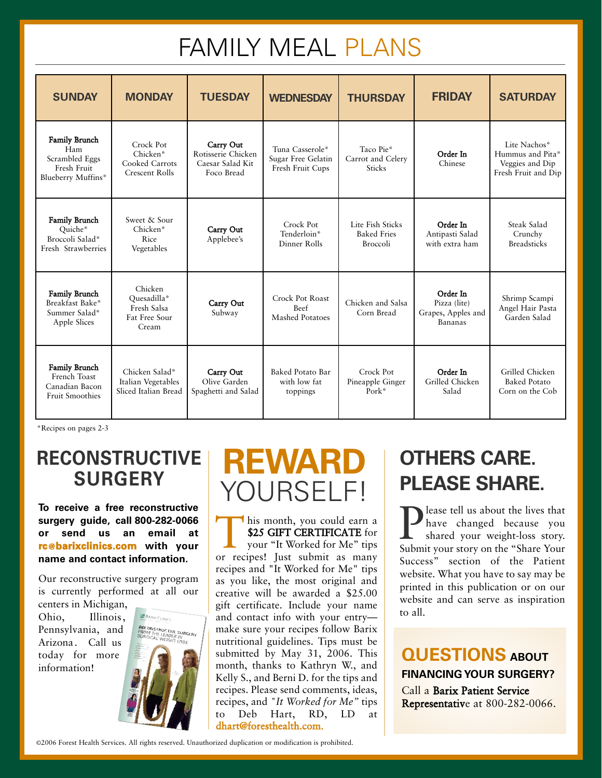## FAMILY MEAL PLANS

| <b>SUNDAY</b>                                                                      | <b>MONDAY</b>                                                    | <b>TUESDAY</b>                                                    | <b>WEDNESDAY</b>                                          | <b>THURSDAY</b>                                           | <b>FRIDAY</b>                                             | <b>SATURDAY</b>                                                            |
|------------------------------------------------------------------------------------|------------------------------------------------------------------|-------------------------------------------------------------------|-----------------------------------------------------------|-----------------------------------------------------------|-----------------------------------------------------------|----------------------------------------------------------------------------|
| <b>Family Brunch</b><br>Ham<br>Scrambled Eggs<br>Fresh Fruit<br>Blueberry Muffins* | Crock Pot<br>Chicken*<br>Cooked Carrots<br><b>Crescent Rolls</b> | Carry Out<br>Rotisserie Chicken<br>Caesar Salad Kit<br>Foco Bread | Tuna Casserole*<br>Sugar Free Gelatin<br>Fresh Fruit Cups | Taco Pie*<br>Carrot and Celery<br><b>Sticks</b>           | Order In<br>Chinese                                       | Lite Nachos*<br>Hummus and Pita*<br>Veggies and Dip<br>Fresh Fruit and Dip |
| <b>Family Brunch</b><br>Ouiche*<br>Broccoli Salad*<br>Fresh Strawberries           | Sweet & Sour<br>Chicken*<br>Rice<br>Vegetables                   | Carry Out<br>Applebee's                                           | Crock Pot<br>Tenderloin*<br>Dinner Rolls                  | Lite Fish Sticks<br><b>Baked Fries</b><br><b>Broccoli</b> | Order In<br>Antipasti Salad<br>with extra ham             | Steak Salad<br>Crunchy<br><b>Breadsticks</b>                               |
| <b>Family Brunch</b><br>Breakfast Bake*<br>Summer Salad*<br>Apple Slices           | Chicken<br>Ouesadilla*<br>Fresh Salsa<br>Fat Free Sour<br>Cream  | Carry Out<br>Subway                                               | Crock Pot Roast<br><b>Beef</b><br><b>Mashed Potatoes</b>  | Chicken and Salsa<br>Corn Bread                           | Order In<br>Pizza (lite)<br>Grapes, Apples and<br>Bananas | Shrimp Scampi<br>Angel Hair Pasta<br>Garden Salad                          |
| <b>Family Brunch</b><br>French Toast<br>Canadian Bacon<br><b>Fruit Smoothies</b>   | Chicken Salad*<br>Italian Vegetables<br>Sliced Italian Bread     | Carry Out<br>Olive Garden<br>Spaghetti and Salad                  | Baked Potato Bar<br>with low fat<br>toppings              | Crock Pot<br>Pineapple Ginger<br>${\rm Park}^*$           | Order In<br>Grilled Chicken<br>Salad                      | Grilled Chicken<br><b>Baked Potato</b><br>Corn on the Cob                  |

\*Recipes on pages 2-3

## **RECONSTRUCTIVE SURGERY**

**To receive a free reconstructive surgery guide, call 8002820066 or send us an email at rc@barixclinics.com with your name and contact information.**

Our reconstructive surgery program is currently performed at all our

centers in Michigan, Ohio, Illinois, Pennsylvania, and Arizona. Call us today for more information!



# **REWARD** YOURSELF!

This month, you could earn a<br>\$25 GIFT CERTIFICATE for<br>your "It Worked for Me" tips<br>or recipes! Just submit as many \$25 GIFT CERTIFICATE for your "It Worked for Me" tips or recipes! Just submit as many recipes and "It Worked for Me" tips as you like, the most original and creative will be awarded a \$25.00 gift certificate. Include your name and contact info with your entry make sure your recipes follow Barix nutritional guidelines. Tips must be submitted by May 31, 2006. This month, thanks to Kathryn W., and Kelly S., and Berni D. for the tips and recipes. Please send comments, ideas, recipes, and *"It Worked for Me"* tips to Deb Hart, RD, LD at dhart@foresthealth.com.

## **OTHERS CARE. PLEASE SHARE.**

**P** lease tell us about the lives that<br>have changed because you<br>shared your weight-loss story. have changed because you shared your weight-loss story. Submit your story on the "Share Your Success" section of the Patient website. What you have to say may be printed in this publication or on our website and can serve as inspiration to all.

### **QUESTIONS ABOUT FINANCING YOUR SURGERY?**

Call a Barix Patient Service Representative at 800-282-0066.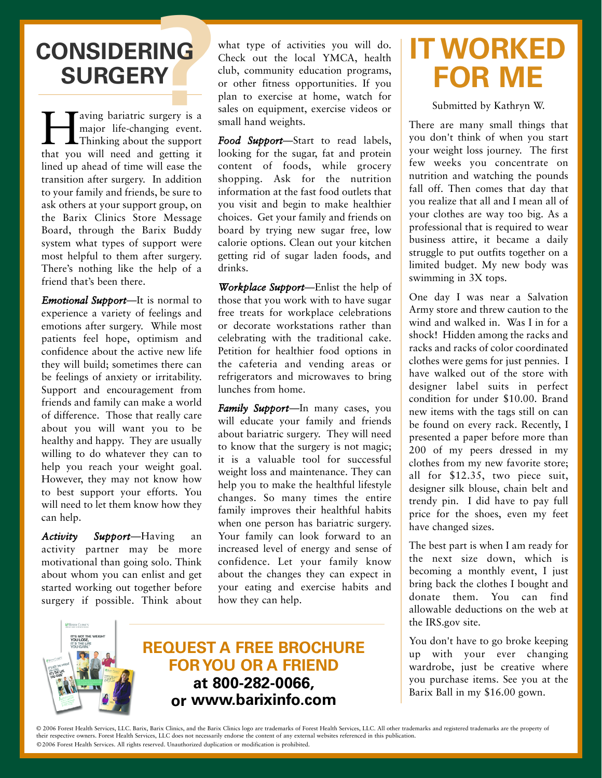# **CONSIDERING<br>
SURGERY**<br> **T** Taving bariatric surgery is a **SURGERY**

wing bariatric surgery is a<br>major life-changing event.<br>Thinking about the support<br>that you will need and getting it major life-changing event. Thinking about the support that you will need and getting it lined up ahead of time will ease the transition after surgery. In addition to your family and friends, be sure to ask others at your support group, on the Barix Clinics Store Message Board, through the Barix Buddy system what types of support were most helpful to them after surgery. There's nothing like the help of a friend that's been there.

*Emotional Support*—It is normal to experience a variety of feelings and emotions after surgery. While most patients feel hope, optimism and confidence about the active new life they will build; sometimes there can be feelings of anxiety or irritability. Support and encouragement from friends and family can make a world of difference. Those that really care about you will want you to be healthy and happy. They are usually willing to do whatever they can to help you reach your weight goal. However, they may not know how to best support your efforts. You will need to let them know how they can help.

*Activity Support*—Having an activity partner may be more motivational than going solo. Think about whom you can enlist and get started working out together before surgery if possible. Think about

what type of activities you will do. Check out the local YMCA, health club, community education programs, or other fitness opportunities. If you plan to exercise at home, watch for sales on equipment, exercise videos or small hand weights.

*Food Support*—Start to read labels, looking for the sugar, fat and protein content of foods, while grocery shopping. Ask for the nutrition information at the fast food outlets that you visit and begin to make healthier choices. Get your family and friends on board by trying new sugar free, low calorie options. Clean out your kitchen getting rid of sugar laden foods, and drinks.

*Workplace Support*—Enlist the help of those that you work with to have sugar free treats for workplace celebrations or decorate workstations rather than celebrating with the traditional cake. Petition for healthier food options in the cafeteria and vending areas or refrigerators and microwaves to bring lunches from home.

*Family Support*—In many cases, you will educate your family and friends about bariatric surgery. They will need to know that the surgery is not magic; it is a valuable tool for successful weight loss and maintenance. They can help you to make the healthful lifestyle changes. So many times the entire family improves their healthful habits when one person has bariatric surgery. Your family can look forward to an increased level of energy and sense of confidence. Let your family know about the changes they can expect in your eating and exercise habits and how they can help.



**REQUEST A FREE BROCHURE FOR YOU OR A FRIEND at 8002820066, or www.barixinfo.com**

# **IT WORKED FOR ME**

Submitted by Kathryn W.

There are many small things that you don't think of when you start your weight loss journey. The first few weeks you concentrate on nutrition and watching the pounds fall off. Then comes that day that you realize that all and I mean all of your clothes are way too big. As a professional that is required to wear business attire, it became a daily struggle to put outfits together on a limited budget. My new body was swimming in 3X tops.

One day I was near a Salvation Army store and threw caution to the wind and walked in. Was I in for a shock! Hidden among the racks and racks and racks of color coordinated clothes were gems for just pennies. I have walked out of the store with designer label suits in perfect condition for under \$10.00. Brand new items with the tags still on can be found on every rack. Recently, I presented a paper before more than 200 of my peers dressed in my clothes from my new favorite store; all for \$12.35, two piece suit, designer silk blouse, chain belt and trendy pin. I did have to pay full price for the shoes, even my feet have changed sizes.

The best part is when I am ready for the next size down, which is becoming a monthly event, I just bring back the clothes I bought and donate them. You can find allowable deductions on the web at the IRS.gov site.

You don't have to go broke keeping up with your ever changing wardrobe, just be creative where you purchase items. See you at the Barix Ball in my \$16.00 gown.

©2006 Forest Health Services. All rights reserved. Unauthorized duplication or modification is prohibited. © 2006 Forest Health Services, LLC. Barix, Barix Clinics, and the Barix Clinics logo are trademarks of Forest Health Services, LLC. All other trademarks and registered trademarks are the property of their respective owners. Forest Health Services, LLC does not necessarily endorse the content of any external websites referenced in this publication.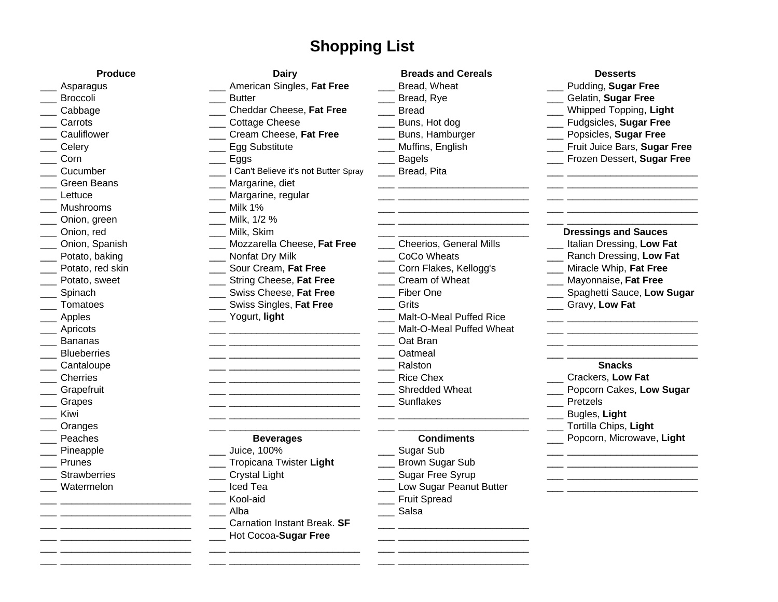## **Shopping List**

| <b>Produce</b>      | <b>Dairy</b>                          | <b>Breads and Cereals</b>      | <b>Desserts</b>              |
|---------------------|---------------------------------------|--------------------------------|------------------------------|
| Asparagus           | American Singles, Fat Free            | Bread, Wheat                   | Pudding, Sugar Free          |
| <b>Broccoli</b>     | <b>Butter</b>                         | Bread, Rye                     | Gelatin, Sugar Free          |
| Cabbage             | Cheddar Cheese, Fat Free              | <b>Bread</b>                   | Whipped Topping, Light       |
| Carrots             | <b>Cottage Cheese</b>                 | Buns, Hot dog                  | Fudgsicles, Sugar Free       |
| Cauliflower         | Cream Cheese, Fat Free                | Buns, Hamburger                | Popsicles, Sugar Free        |
| Celery              | Egg Substitute                        | Muffins, English               | Fruit Juice Bars, Sugar Free |
| Corn                | Eggs                                  | <b>Bagels</b>                  | Frozen Dessert, Sugar Free   |
| Cucumber            | I Can't Believe it's not Butter Spray | Bread, Pita                    |                              |
| <b>Green Beans</b>  | Margarine, diet                       |                                |                              |
| Lettuce             | Margarine, regular                    |                                |                              |
| <b>Mushrooms</b>    | Milk 1%                               |                                |                              |
| Onion, green        | Milk, 1/2 %                           |                                |                              |
| Onion, red          | Milk, Skim                            |                                | <b>Dressings and Sauces</b>  |
| Onion, Spanish      | Mozzarella Cheese, Fat Free           | <b>Cheerios, General Mills</b> | Italian Dressing, Low Fat    |
| Potato, baking      | Nonfat Dry Milk                       | CoCo Wheats                    | Ranch Dressing, Low Fat      |
| Potato, red skin    | Sour Cream, Fat Free                  | Corn Flakes, Kellogg's         | Miracle Whip, Fat Free       |
| Potato, sweet       | String Cheese, Fat Free               | Cream of Wheat                 | Mayonnaise, Fat Free         |
| Spinach             | Swiss Cheese, Fat Free                | Fiber One                      | Spaghetti Sauce, Low Sugar   |
| Tomatoes            | Swiss Singles, Fat Free               | Grits                          | Gravy, Low Fat               |
| Apples              | Yogurt, light                         | Malt-O-Meal Puffed Rice        |                              |
| Apricots            |                                       | Malt-O-Meal Puffed Wheat       |                              |
| <b>Bananas</b>      |                                       | Oat Bran                       |                              |
| <b>Blueberries</b>  |                                       | Oatmeal                        |                              |
| Cantaloupe          |                                       | Ralston                        | <b>Snacks</b>                |
| Cherries            |                                       | <b>Rice Chex</b>               | Crackers, Low Fat            |
| Grapefruit          |                                       | Shredded Wheat                 | Popcorn Cakes, Low Sugar     |
| Grapes              |                                       | <b>Sunflakes</b>               | Pretzels                     |
| Kiwi                |                                       |                                | Bugles, Light                |
| Oranges             |                                       |                                | Tortilla Chips, Light        |
| Peaches             | <b>Beverages</b>                      | <b>Condiments</b>              | Popcorn, Microwave, Light    |
| Pineapple           | Juice, 100%                           | Sugar Sub                      |                              |
| Prunes              | Tropicana Twister Light               | Brown Sugar Sub                |                              |
| <b>Strawberries</b> | <b>Crystal Light</b>                  | Sugar Free Syrup               |                              |
| Watermelon          | Iced Tea                              | Low Sugar Peanut Butter        |                              |
|                     | Kool-aid                              | <b>Fruit Spread</b>            |                              |
|                     | Alba                                  | Salsa                          |                              |
|                     | Carnation Instant Break. SF           |                                |                              |
|                     | Hot Cocoa-Sugar Free                  |                                |                              |
|                     |                                       |                                |                              |

\_\_\_ \_\_\_\_\_\_\_\_\_\_\_\_\_\_\_\_\_\_\_\_\_\_\_\_ \_\_\_ \_\_\_\_\_\_\_\_\_\_\_\_\_\_\_\_\_\_\_\_\_\_\_\_ \_\_\_ \_\_\_\_\_\_\_\_\_\_\_\_\_\_\_\_\_\_\_\_\_\_\_\_